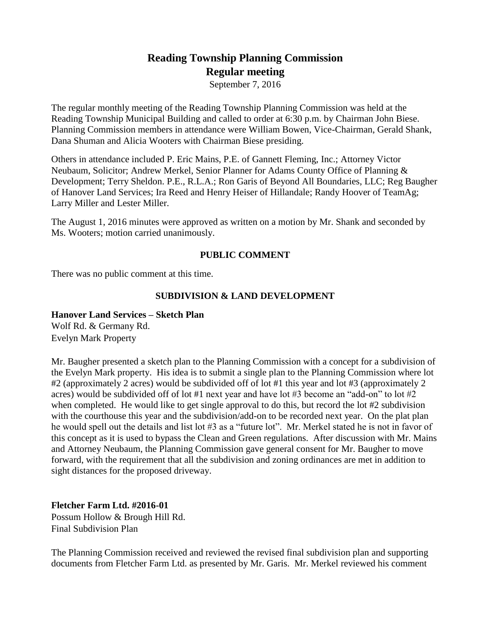# **Reading Township Planning Commission Regular meeting**

September 7, 2016

The regular monthly meeting of the Reading Township Planning Commission was held at the Reading Township Municipal Building and called to order at 6:30 p.m. by Chairman John Biese. Planning Commission members in attendance were William Bowen, Vice-Chairman, Gerald Shank, Dana Shuman and Alicia Wooters with Chairman Biese presiding.

Others in attendance included P. Eric Mains, P.E. of Gannett Fleming, Inc.; Attorney Victor Neubaum, Solicitor; Andrew Merkel, Senior Planner for Adams County Office of Planning & Development; Terry Sheldon. P.E., R.L.A.; Ron Garis of Beyond All Boundaries, LLC; Reg Baugher of Hanover Land Services; Ira Reed and Henry Heiser of Hillandale; Randy Hoover of TeamAg; Larry Miller and Lester Miller.

The August 1, 2016 minutes were approved as written on a motion by Mr. Shank and seconded by Ms. Wooters; motion carried unanimously.

## **PUBLIC COMMENT**

There was no public comment at this time.

#### **SUBDIVISION & LAND DEVELOPMENT**

# **Hanover Land Services – Sketch Plan**

Wolf Rd. & Germany Rd. Evelyn Mark Property

Mr. Baugher presented a sketch plan to the Planning Commission with a concept for a subdivision of the Evelyn Mark property. His idea is to submit a single plan to the Planning Commission where lot #2 (approximately 2 acres) would be subdivided off of lot #1 this year and lot #3 (approximately 2 acres) would be subdivided off of lot #1 next year and have lot #3 become an "add-on" to lot #2 when completed. He would like to get single approval to do this, but record the lot #2 subdivision with the courthouse this year and the subdivision/add-on to be recorded next year. On the plat plan he would spell out the details and list lot #3 as a "future lot". Mr. Merkel stated he is not in favor of this concept as it is used to bypass the Clean and Green regulations. After discussion with Mr. Mains and Attorney Neubaum, the Planning Commission gave general consent for Mr. Baugher to move forward, with the requirement that all the subdivision and zoning ordinances are met in addition to sight distances for the proposed driveway.

**Fletcher Farm Ltd. #2016-01** Possum Hollow & Brough Hill Rd. Final Subdivision Plan

The Planning Commission received and reviewed the revised final subdivision plan and supporting documents from Fletcher Farm Ltd. as presented by Mr. Garis. Mr. Merkel reviewed his comment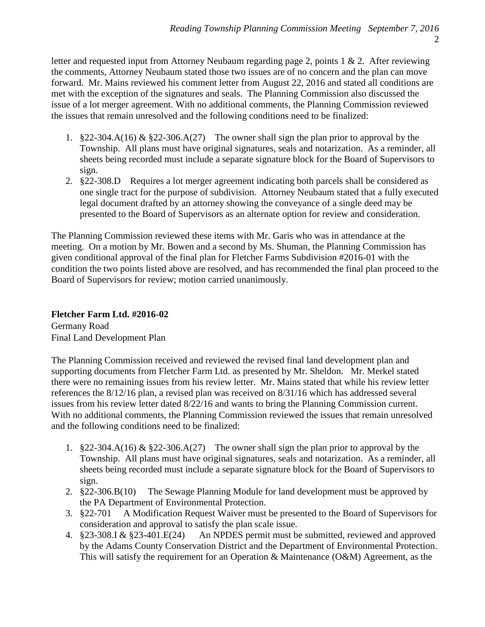letter and requested input from Attorney Neubaum regarding page 2, points 1 & 2. After reviewing the comments, Attorney Neubaum stated those two issues are of no concern and the plan can move forward. Mr. Mains reviewed his comment letter from August 22, 2016 and stated all conditions are met with the exception of the signatures and seals. The Planning Commission also discussed the issue of a lot merger agreement. With no additional comments, the Planning Commission reviewed the issues that remain unresolved and the following conditions need to be finalized:

- 1. §22-304.A(16) & §22-306.A(27) The owner shall sign the plan prior to approval by the Township. All plans must have original signatures, seals and notarization. As a reminder, all sheets being recorded must include a separate signature block for the Board of Supervisors to sign.
- 2. §22-308.D Requires a lot merger agreement indicating both parcels shall be considered as one single tract for the purpose of subdivision. Attorney Neubaum stated that a fully executed legal document drafted by an attorney showing the conveyance of a single deed may be presented to the Board of Supervisors as an alternate option for review and consideration.

The Planning Commission reviewed these items with Mr. Garis who was in attendance at the meeting. On a motion by Mr. Bowen and a second by Ms. Shuman, the Planning Commission has given conditional approval of the final plan for Fletcher Farms Subdivision #2016-01 with the condition the two points listed above are resolved, and has recommended the final plan proceed to the Board of Supervisors for review; motion carried unanimously.

# **Fletcher Farm Ltd. #2016-02**

Germany Road Final Land Development Plan

The Planning Commission received and reviewed the revised final land development plan and supporting documents from Fletcher Farm Ltd. as presented by Mr. Sheldon. Mr. Merkel stated there were no remaining issues from his review letter. Mr. Mains stated that while his review letter references the 8/12/16 plan, a revised plan was received on 8/31/16 which has addressed several issues from his review letter dated 8/22/16 and wants to bring the Planning Commission current. With no additional comments, the Planning Commission reviewed the issues that remain unresolved and the following conditions need to be finalized:

- 1. §22-304.A(16) & §22-306.A(27) The owner shall sign the plan prior to approval by the Township. All plans must have original signatures, seals and notarization. As a reminder, all sheets being recorded must include a separate signature block for the Board of Supervisors to sign.
- 2. §22-306.B(10) The Sewage Planning Module for land development must be approved by the PA Department of Environmental Protection.
- 3. §22-701 A Modification Request Waiver must be presented to the Board of Supervisors for consideration and approval to satisfy the plan scale issue.
- 4. §23-308.I & §23-401.E(24) An NPDES permit must be submitted, reviewed and approved by the Adams County Conservation District and the Department of Environmental Protection. This will satisfy the requirement for an Operation & Maintenance (O&M) Agreement, as the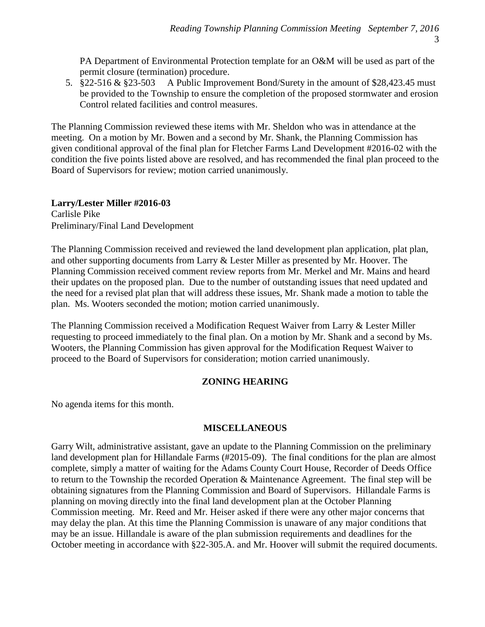PA Department of Environmental Protection template for an O&M will be used as part of the permit closure (termination) procedure.

5. §22-516 & §23-503 A Public Improvement Bond/Surety in the amount of \$28,423.45 must be provided to the Township to ensure the completion of the proposed stormwater and erosion Control related facilities and control measures.

The Planning Commission reviewed these items with Mr. Sheldon who was in attendance at the meeting. On a motion by Mr. Bowen and a second by Mr. Shank, the Planning Commission has given conditional approval of the final plan for Fletcher Farms Land Development #2016-02 with the condition the five points listed above are resolved, and has recommended the final plan proceed to the Board of Supervisors for review; motion carried unanimously.

## **Larry/Lester Miller #2016-03**

Carlisle Pike Preliminary/Final Land Development

The Planning Commission received and reviewed the land development plan application, plat plan, and other supporting documents from Larry & Lester Miller as presented by Mr. Hoover. The Planning Commission received comment review reports from Mr. Merkel and Mr. Mains and heard their updates on the proposed plan. Due to the number of outstanding issues that need updated and the need for a revised plat plan that will address these issues, Mr. Shank made a motion to table the plan. Ms. Wooters seconded the motion; motion carried unanimously.

The Planning Commission received a Modification Request Waiver from Larry & Lester Miller requesting to proceed immediately to the final plan. On a motion by Mr. Shank and a second by Ms. Wooters, the Planning Commission has given approval for the Modification Request Waiver to proceed to the Board of Supervisors for consideration; motion carried unanimously.

## **ZONING HEARING**

No agenda items for this month.

## **MISCELLANEOUS**

Garry Wilt, administrative assistant, gave an update to the Planning Commission on the preliminary land development plan for Hillandale Farms (#2015-09). The final conditions for the plan are almost complete, simply a matter of waiting for the Adams County Court House, Recorder of Deeds Office to return to the Township the recorded Operation & Maintenance Agreement. The final step will be obtaining signatures from the Planning Commission and Board of Supervisors. Hillandale Farms is planning on moving directly into the final land development plan at the October Planning Commission meeting. Mr. Reed and Mr. Heiser asked if there were any other major concerns that may delay the plan. At this time the Planning Commission is unaware of any major conditions that may be an issue. Hillandale is aware of the plan submission requirements and deadlines for the October meeting in accordance with §22-305.A. and Mr. Hoover will submit the required documents.